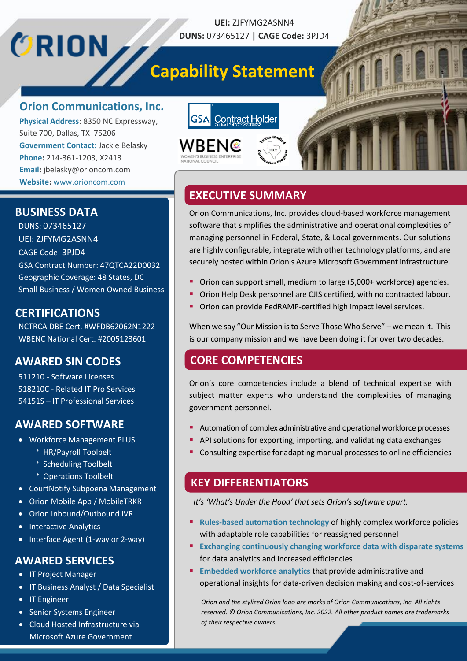## **Capability Statement**

**UEI:** ZJFYMG2ASNN4 **DUNS:** 073465127 **| CAGE Code:** 3PJD4

## **Orion Communications, Inc.**

**Physical Address:** 8350 NC Expressway, Suite 700, Dallas, TX 75206 **Government Contact:** Jackie Belasky **Phone:** 214-361-1203, X2413 **Email:** jbelasky@orioncom.com **Website:** [www.orioncom.com](http://www.orioncom.com/)





Orion Communications, Inc. provides cloud-based workforce management software that simplifies the administrative and operational complexities of managing personnel in Federal, State, & Local governments. Our solutions are highly configurable, integrate with other technology platforms, and are securely hosted within Orion's Azure Microsoft Government infrastructure.

- Orion can support small, medium to large (5,000+ workforce) agencies.
- Orion Help Desk personnel are CJIS certified, with no contracted labour.
- Orion can provide FedRAMP-certified high impact level services.

When we say "Our Mission is to Serve Those Who Serve" – we mean it. This is our company mission and we have been doing it for over two decades.

### **CORE COMPETENCIES**

Orion's core competencies include a blend of technical expertise with subject matter experts who understand the complexities of managing government personnel.

- Automation of complex administrative and operational workforce processes
- API solutions for exporting, importing, and validating data exchanges
- Consulting expertise for adapting manual processes to online efficiencies

### **KEY DIFFERENTIATORS**

*It's 'What's Under the Hood' that sets Orion's software apart.*

- **Rules-based automation technology of highly complex workforce policies** with adaptable role capabilities for reassigned personnel
- **Exchanging continuously changing workforce data with disparate systems** for data analytics and increased efficiencies
- **Embedded workforce analytics that provide administrative and** operational insights for data-driven decision making and cost-of-services

*Orion and the stylized Orion logo are marks of Orion Communications, Inc. All rights reserved. © Orion Communications, Inc. 2022. All other product names are trademarks of their respective owners.*

## **BUSINESS DATA**

**ORION** 

DUNS: 073465127 UEI: ZJFYMG2ASNN4 CAGE Code: 3PJD4 GSA Contract Number: 47QTCA22D0032 Geographic Coverage: 48 States, DC Small Business / Women Owned Business

## **CERTIFICATIONS**

NCTRCA DBE Cert. #WFDB62062N1222 WBENC National Cert. #2005123601

## **AWARED SIN CODES**

511210 - Software Licenses 518210C - Related IT Pro Services 54151S – IT Professional Services

## **AWARED SOFTWARE**

- Workforce Management PLUS
	- ⁺ HR/Payroll Toolbelt
	- ⁺ Scheduling Toolbelt
	- ⁺ Operations Toolbelt
- CourtNotify Subpoena Management
- Orion Mobile App / MobileTRKR
- Orion Inbound/Outbound IVR
- Interactive Analytics
- Interface Agent (1-way or 2-way)

## **AWARED SERVICES**

- IT Project Manager
- IT Business Analyst / Data Specialist
- IT Engineer
- Senior Systems Engineer
- Cloud Hosted Infrastructure via Microsoft Azure Government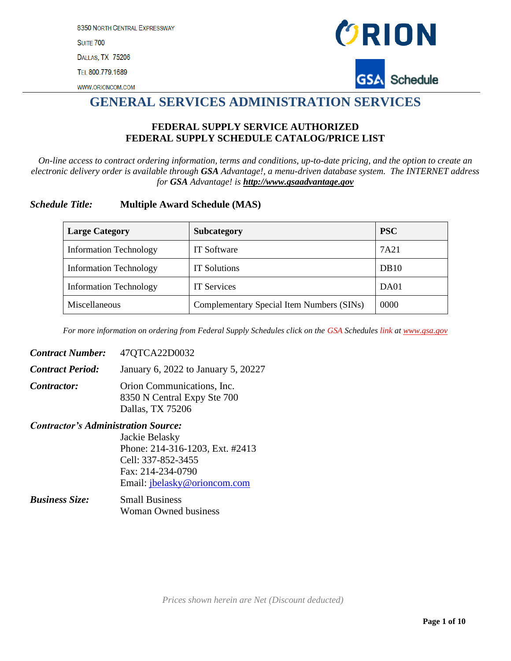8350 NORTH CENTRAL EXPRESSWAY **SUITE 700** DALLAS, TX 75206 TEL 800.779.1689





## **GENERAL SERVICES ADMINISTRATION SERVICES**

#### **FEDERAL SUPPLY SERVICE AUTHORIZED FEDERAL SUPPLY SCHEDULE CATALOG/PRICE LIST**

*On-line access to contract ordering information, terms and conditions, up-to-date pricing, and the option to create an electronic delivery order is available through GSA Advantage!, a menu-driven database system. The INTERNET address for GSA Advantage! is [http://www.gsaadvantage.gov](http://www.gsaadvantage.gov/)*

#### *Schedule Title:* **Multiple Award Schedule (MAS)**

| <b>Large Category</b>         | <b>Subcategory</b>                        | <b>PSC</b>  |
|-------------------------------|-------------------------------------------|-------------|
| <b>Information Technology</b> | <b>IT</b> Software                        | 7A21        |
| <b>Information Technology</b> | <b>IT Solutions</b>                       | <b>DB10</b> |
| <b>Information Technology</b> | <b>IT Services</b>                        | DA01        |
| Miscellaneous                 | Complementary Special Item Numbers (SINs) | 0000        |

*For more information on ordering from Federal Supply Schedules click on the GSA Schedules link at [www.gsa.gov](http://www.gsa.gov/)*

| <b>Contract Number:</b>                    | 47QTCA22D0032                                                                 |
|--------------------------------------------|-------------------------------------------------------------------------------|
| <b>Contract Period:</b>                    | January 6, 2022 to January 5, 20227                                           |
| <i>Contractor:</i>                         | Orion Communications, Inc.<br>8350 N Central Expy Ste 700<br>Dallas, TX 75206 |
| <b>Contractor's Administration Source:</b> |                                                                               |
|                                            | Jackie Belasky                                                                |
|                                            | Phone: 214-316-1203, Ext. #2413                                               |

Cell: 337-852-3455 Fax: 214-234-0790 Email: [jbelasky@orioncom.com](mailto:jbelasky@orioncom.com)

| <b>Business Size:</b> | <b>Small Business</b>       |
|-----------------------|-----------------------------|
|                       | <b>Woman Owned business</b> |

*Prices shown herein are Net (Discount deducted)*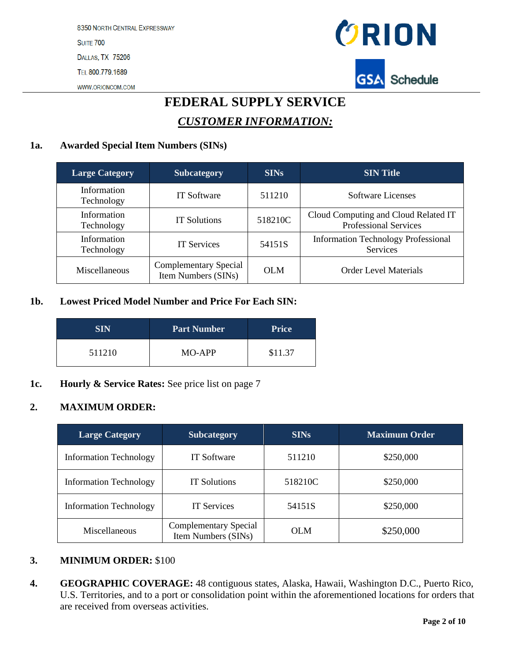

## **FEDERAL SUPPLY SERVICE** *CUSTOMER INFORMATION:*

#### **1a. Awarded Special Item Numbers (SINs)**

| <b>Large Category</b>     | <b>Subcategory</b>                                  | <b>SINs</b> | <b>SIN Title</b>                                                     |
|---------------------------|-----------------------------------------------------|-------------|----------------------------------------------------------------------|
| Information<br>Technology | <b>IT Software</b>                                  | 511210      | Software Licenses                                                    |
| Information<br>Technology | <b>IT Solutions</b>                                 | 518210C     | Cloud Computing and Cloud Related IT<br><b>Professional Services</b> |
| Information<br>Technology | <b>IT Services</b>                                  | 54151S      | <b>Information Technology Professional</b><br>Services               |
| Miscellaneous             | <b>Complementary Special</b><br>Item Numbers (SINs) | <b>OLM</b>  | <b>Order Level Materials</b>                                         |

#### **1b. Lowest Priced Model Number and Price For Each SIN:**

| <b>SIN</b> | <b>Part Number</b> | <b>Price</b> |
|------------|--------------------|--------------|
| 511210     | MO-APP             | \$11.37      |

**1c. Hourly & Service Rates:** See price list on page 7

#### **2. MAXIMUM ORDER:**

| <b>Large Category</b>         | <b>Subcategory</b>                                  | <b>SINs</b> | <b>Maximum Order</b> |
|-------------------------------|-----------------------------------------------------|-------------|----------------------|
| <b>Information Technology</b> | <b>IT Software</b>                                  | 511210      | \$250,000            |
| <b>Information Technology</b> | <b>IT Solutions</b>                                 | 518210C     | \$250,000            |
| <b>Information Technology</b> | <b>IT Services</b>                                  | 54151S      | \$250,000            |
| Miscellaneous                 | <b>Complementary Special</b><br>Item Numbers (SINs) | <b>OLM</b>  | \$250,000            |

#### **3. MINIMUM ORDER:** \$100

**4. GEOGRAPHIC COVERAGE:** 48 contiguous states, Alaska, Hawaii, Washington D.C., Puerto Rico, U.S. Territories, and to a port or consolidation point within the aforementioned locations for orders that are received from overseas activities.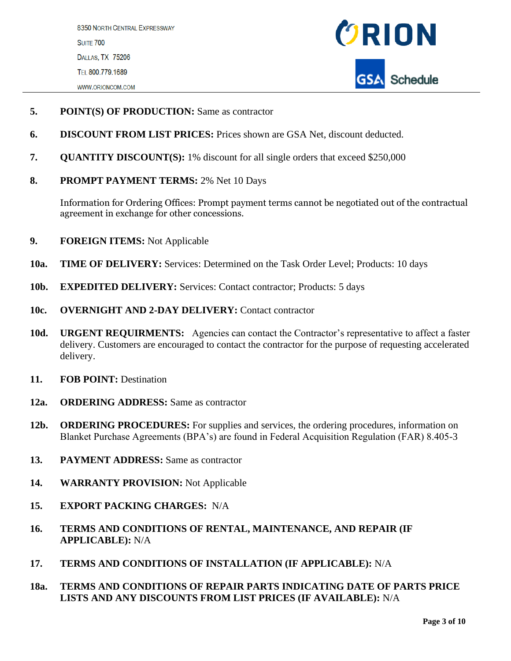

- **5. POINT(S) OF PRODUCTION:** Same as contractor
- **6. DISCOUNT FROM LIST PRICES:** Prices shown are GSA Net, discount deducted.
- **7. QUANTITY DISCOUNT(S):** 1% discount for all single orders that exceed \$250,000
- **8. PROMPT PAYMENT TERMS:** 2% Net 10 Days

Information for Ordering Offices: Prompt payment terms cannot be negotiated out of the contractual agreement in exchange for other concessions.

- **9. FOREIGN ITEMS:** Not Applicable
- **10a. TIME OF DELIVERY:** Services: Determined on the Task Order Level; Products: 10 days
- 10b. **EXPEDITED DELIVERY:** Services: Contact contractor; Products: 5 days
- **10c. OVERNIGHT AND 2-DAY DELIVERY:** Contact contractor
- **10d. URGENT REQUIRMENTS:** Agencies can contact the Contractor's representative to affect a faster delivery. Customers are encouraged to contact the contractor for the purpose of requesting accelerated delivery.
- **11. FOB POINT:** Destination
- **12a. ORDERING ADDRESS:** Same as contractor
- **12b. ORDERING PROCEDURES:** For supplies and services, the ordering procedures, information on Blanket Purchase Agreements (BPA's) are found in Federal Acquisition Regulation (FAR) 8.405-3
- **13. PAYMENT ADDRESS:** Same as contractor
- **14. WARRANTY PROVISION:** Not Applicable
- **15. EXPORT PACKING CHARGES:** N/A
- **16. TERMS AND CONDITIONS OF RENTAL, MAINTENANCE, AND REPAIR (IF APPLICABLE):** N/A
- **17. TERMS AND CONDITIONS OF INSTALLATION (IF APPLICABLE):** N/A
- **18a. TERMS AND CONDITIONS OF REPAIR PARTS INDICATING DATE OF PARTS PRICE LISTS AND ANY DISCOUNTS FROM LIST PRICES (IF AVAILABLE):** N/A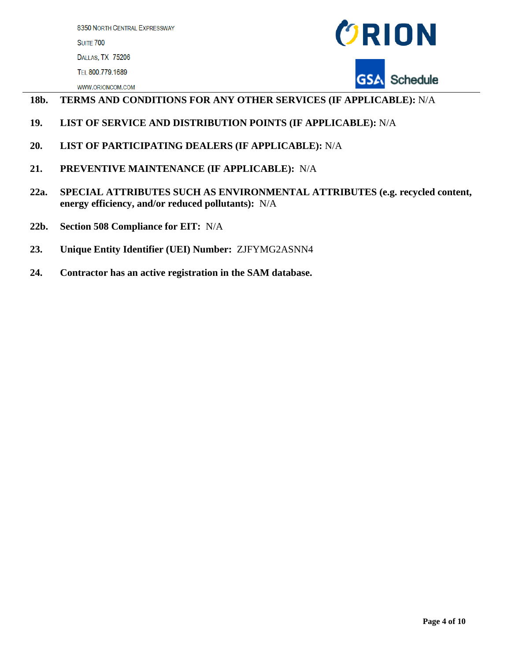

#### WWW.ORIONCOM.COM

#### **18b. TERMS AND CONDITIONS FOR ANY OTHER SERVICES (IF APPLICABLE):** N/A

- **19. LIST OF SERVICE AND DISTRIBUTION POINTS (IF APPLICABLE):** N/A
- **20. LIST OF PARTICIPATING DEALERS (IF APPLICABLE):** N/A
- **21. PREVENTIVE MAINTENANCE (IF APPLICABLE):** N/A
- **22a. SPECIAL ATTRIBUTES SUCH AS ENVIRONMENTAL ATTRIBUTES (e.g. recycled content, energy efficiency, and/or reduced pollutants):** N/A
- **22b. Section 508 Compliance for EIT:** N/A
- **23. Unique Entity Identifier (UEI) Number:** ZJFYMG2ASNN4
- **24. Contractor has an active registration in the SAM database.**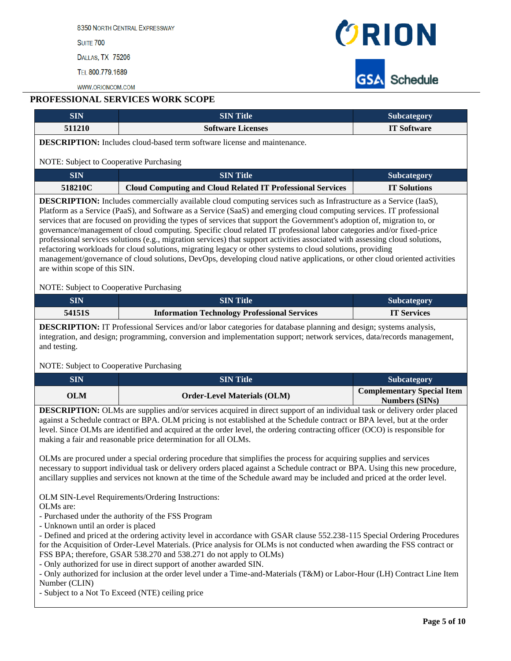8350 NORTH CENTRAL EXPRESSWAY

**SUITE 700** 

DALLAS, TX 75206

TEL 800.779.1689

WWW.ORIONCOM.COM



#### **PROFESSIONAL SERVICES WORK SCOPE**

| 511210                                                                                                                                                                                                                                                                                                                                                                                                                                                                                                                                                                                                                                                                                                                                                                                                                                                                                                              | <b>SIN Title</b>                                                                                                                                                                          | Subcategory                                                               |  |  |  |  |
|---------------------------------------------------------------------------------------------------------------------------------------------------------------------------------------------------------------------------------------------------------------------------------------------------------------------------------------------------------------------------------------------------------------------------------------------------------------------------------------------------------------------------------------------------------------------------------------------------------------------------------------------------------------------------------------------------------------------------------------------------------------------------------------------------------------------------------------------------------------------------------------------------------------------|-------------------------------------------------------------------------------------------------------------------------------------------------------------------------------------------|---------------------------------------------------------------------------|--|--|--|--|
|                                                                                                                                                                                                                                                                                                                                                                                                                                                                                                                                                                                                                                                                                                                                                                                                                                                                                                                     | <b>Software Licenses</b>                                                                                                                                                                  | <b>IT Software</b>                                                        |  |  |  |  |
| <b>DESCRIPTION:</b> Includes cloud-based term software license and maintenance.                                                                                                                                                                                                                                                                                                                                                                                                                                                                                                                                                                                                                                                                                                                                                                                                                                     |                                                                                                                                                                                           |                                                                           |  |  |  |  |
| NOTE: Subject to Cooperative Purchasing                                                                                                                                                                                                                                                                                                                                                                                                                                                                                                                                                                                                                                                                                                                                                                                                                                                                             |                                                                                                                                                                                           |                                                                           |  |  |  |  |
| <b>SIN</b>                                                                                                                                                                                                                                                                                                                                                                                                                                                                                                                                                                                                                                                                                                                                                                                                                                                                                                          | <b>SIN Title</b><br>Subcategory                                                                                                                                                           |                                                                           |  |  |  |  |
| 518210C                                                                                                                                                                                                                                                                                                                                                                                                                                                                                                                                                                                                                                                                                                                                                                                                                                                                                                             | <b>Cloud Computing and Cloud Related IT Professional Services</b>                                                                                                                         | <b>IT Solutions</b>                                                       |  |  |  |  |
| <b>DESCRIPTION:</b> Includes commercially available cloud computing services such as Infrastructure as a Service (IaaS),<br>Platform as a Service (PaaS), and Software as a Service (SaaS) and emerging cloud computing services. IT professional<br>services that are focused on providing the types of services that support the Government's adoption of, migration to, or<br>governance/management of cloud computing. Specific cloud related IT professional labor categories and/or fixed-price<br>professional services solutions (e.g., migration services) that support activities associated with assessing cloud solutions,<br>refactoring workloads for cloud solutions, migrating legacy or other systems to cloud solutions, providing<br>management/governance of cloud solutions, DevOps, developing cloud native applications, or other cloud oriented activities<br>are within scope of this SIN. |                                                                                                                                                                                           |                                                                           |  |  |  |  |
| NOTE: Subject to Cooperative Purchasing                                                                                                                                                                                                                                                                                                                                                                                                                                                                                                                                                                                                                                                                                                                                                                                                                                                                             |                                                                                                                                                                                           |                                                                           |  |  |  |  |
| <b>SIN</b>                                                                                                                                                                                                                                                                                                                                                                                                                                                                                                                                                                                                                                                                                                                                                                                                                                                                                                          | <b>SIN Title</b>                                                                                                                                                                          | Subcategory                                                               |  |  |  |  |
| 54151S                                                                                                                                                                                                                                                                                                                                                                                                                                                                                                                                                                                                                                                                                                                                                                                                                                                                                                              | <b>Information Technology Professional Services</b>                                                                                                                                       | <b>IT Services</b>                                                        |  |  |  |  |
| and testing.<br>NOTE: Subject to Cooperative Purchasing                                                                                                                                                                                                                                                                                                                                                                                                                                                                                                                                                                                                                                                                                                                                                                                                                                                             |                                                                                                                                                                                           |                                                                           |  |  |  |  |
|                                                                                                                                                                                                                                                                                                                                                                                                                                                                                                                                                                                                                                                                                                                                                                                                                                                                                                                     |                                                                                                                                                                                           |                                                                           |  |  |  |  |
| <b>SIN</b><br><b>OLM</b>                                                                                                                                                                                                                                                                                                                                                                                                                                                                                                                                                                                                                                                                                                                                                                                                                                                                                            | <b>SIN Title</b><br><b>Order-Level Materials (OLM)</b><br><b>DESCRIPTION:</b> OLMs are supplies and/or services acquired in direct support of an individual task or delivery order placed | Subcategory<br><b>Complementary Special Item</b><br><b>Numbers (SINs)</b> |  |  |  |  |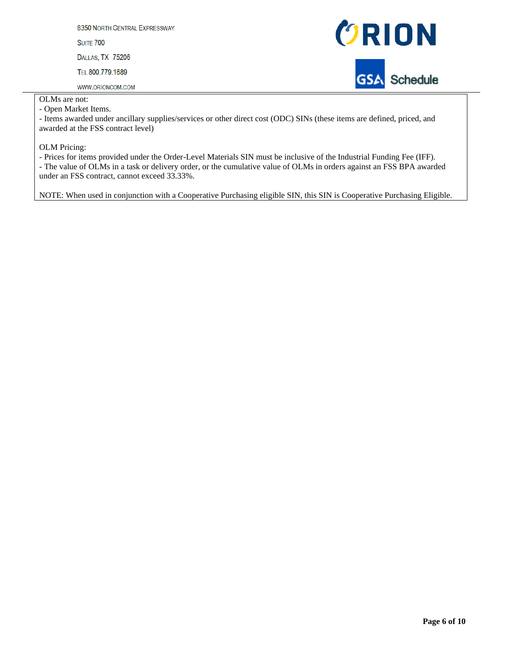8350 NORTH CENTRAL EXPRESSWAY **SUITE 700** DALLAS, TX 75206 TEL 800.779.1689

WWW.ORIONCOM.COM



OLMs are not:

- Open Market Items.

- Items awarded under ancillary supplies/services or other direct cost (ODC) SINs (these items are defined, priced, and awarded at the FSS contract level)

OLM Pricing:

- Prices for items provided under the Order-Level Materials SIN must be inclusive of the Industrial Funding Fee (IFF). - The value of OLMs in a task or delivery order, or the cumulative value of OLMs in orders against an FSS BPA awarded under an FSS contract, cannot exceed 33.33%.

NOTE: When used in conjunction with a Cooperative Purchasing eligible SIN, this SIN is Cooperative Purchasing Eligible.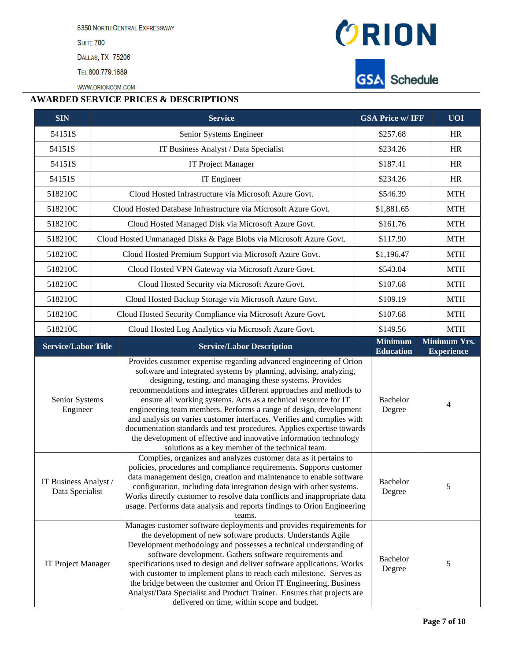8350 NORTH CENTRAL EXPRESSWAY

**SUITE 700** 

DALLAS, TX 75206

TEL 800.779.1689

WWW.ORIONCOM.COM



**GSA** Schedule

#### **AWARDED SERVICE PRICES & DESCRIPTIONS**

| <b>SIN</b>                                                                                                                                                                                                                                                                                                                                                                                                                                                                                          | <b>GSA Price w/ IFF</b><br><b>Service</b>         |                                                                                                                                                                                                                                                                                                                                                                                                                                                                                                                                                                                                                                                                                                                        |                    | $U$ $\overline{O}$ $\overline{I}$ |
|-----------------------------------------------------------------------------------------------------------------------------------------------------------------------------------------------------------------------------------------------------------------------------------------------------------------------------------------------------------------------------------------------------------------------------------------------------------------------------------------------------|---------------------------------------------------|------------------------------------------------------------------------------------------------------------------------------------------------------------------------------------------------------------------------------------------------------------------------------------------------------------------------------------------------------------------------------------------------------------------------------------------------------------------------------------------------------------------------------------------------------------------------------------------------------------------------------------------------------------------------------------------------------------------------|--------------------|-----------------------------------|
| 54151S                                                                                                                                                                                                                                                                                                                                                                                                                                                                                              |                                                   | Senior Systems Engineer<br>\$257.68                                                                                                                                                                                                                                                                                                                                                                                                                                                                                                                                                                                                                                                                                    |                    | <b>HR</b>                         |
| 54151S                                                                                                                                                                                                                                                                                                                                                                                                                                                                                              | IT Business Analyst / Data Specialist<br>\$234.26 |                                                                                                                                                                                                                                                                                                                                                                                                                                                                                                                                                                                                                                                                                                                        |                    | HR                                |
| 54151S                                                                                                                                                                                                                                                                                                                                                                                                                                                                                              |                                                   | IT Project Manager                                                                                                                                                                                                                                                                                                                                                                                                                                                                                                                                                                                                                                                                                                     | \$187.41           | HR                                |
| 54151S                                                                                                                                                                                                                                                                                                                                                                                                                                                                                              |                                                   | IT Engineer                                                                                                                                                                                                                                                                                                                                                                                                                                                                                                                                                                                                                                                                                                            | \$234.26           | <b>HR</b>                         |
| 518210C                                                                                                                                                                                                                                                                                                                                                                                                                                                                                             |                                                   | Cloud Hosted Infrastructure via Microsoft Azure Govt.                                                                                                                                                                                                                                                                                                                                                                                                                                                                                                                                                                                                                                                                  | \$546.39           | <b>MTH</b>                        |
| 518210C                                                                                                                                                                                                                                                                                                                                                                                                                                                                                             |                                                   | Cloud Hosted Database Infrastructure via Microsoft Azure Govt.                                                                                                                                                                                                                                                                                                                                                                                                                                                                                                                                                                                                                                                         | \$1,881.65         | <b>MTH</b>                        |
| 518210C                                                                                                                                                                                                                                                                                                                                                                                                                                                                                             |                                                   | Cloud Hosted Managed Disk via Microsoft Azure Govt.                                                                                                                                                                                                                                                                                                                                                                                                                                                                                                                                                                                                                                                                    | \$161.76           | <b>MTH</b>                        |
| 518210C                                                                                                                                                                                                                                                                                                                                                                                                                                                                                             |                                                   | Cloud Hosted Unmanaged Disks & Page Blobs via Microsoft Azure Govt.                                                                                                                                                                                                                                                                                                                                                                                                                                                                                                                                                                                                                                                    | \$117.90           | <b>MTH</b>                        |
| 518210C                                                                                                                                                                                                                                                                                                                                                                                                                                                                                             |                                                   | Cloud Hosted Premium Support via Microsoft Azure Govt.                                                                                                                                                                                                                                                                                                                                                                                                                                                                                                                                                                                                                                                                 | \$1,196.47         | <b>MTH</b>                        |
| 518210C                                                                                                                                                                                                                                                                                                                                                                                                                                                                                             |                                                   | Cloud Hosted VPN Gateway via Microsoft Azure Govt.                                                                                                                                                                                                                                                                                                                                                                                                                                                                                                                                                                                                                                                                     | \$543.04           | <b>MTH</b>                        |
| 518210C                                                                                                                                                                                                                                                                                                                                                                                                                                                                                             |                                                   | Cloud Hosted Security via Microsoft Azure Govt.                                                                                                                                                                                                                                                                                                                                                                                                                                                                                                                                                                                                                                                                        | \$107.68           | <b>MTH</b>                        |
| 518210C                                                                                                                                                                                                                                                                                                                                                                                                                                                                                             |                                                   | Cloud Hosted Backup Storage via Microsoft Azure Govt.                                                                                                                                                                                                                                                                                                                                                                                                                                                                                                                                                                                                                                                                  | \$109.19           | <b>MTH</b>                        |
| 518210C                                                                                                                                                                                                                                                                                                                                                                                                                                                                                             |                                                   | Cloud Hosted Security Compliance via Microsoft Azure Govt.                                                                                                                                                                                                                                                                                                                                                                                                                                                                                                                                                                                                                                                             | \$107.68           | <b>MTH</b>                        |
| 518210C                                                                                                                                                                                                                                                                                                                                                                                                                                                                                             |                                                   |                                                                                                                                                                                                                                                                                                                                                                                                                                                                                                                                                                                                                                                                                                                        | \$149.56           | <b>MTH</b>                        |
| Cloud Hosted Log Analytics via Microsoft Azure Govt.                                                                                                                                                                                                                                                                                                                                                                                                                                                |                                                   | <b>Minimum</b>                                                                                                                                                                                                                                                                                                                                                                                                                                                                                                                                                                                                                                                                                                         | Minimum Yrs.       |                                   |
| <b>Service/Labor Title</b>                                                                                                                                                                                                                                                                                                                                                                                                                                                                          |                                                   | <b>Service/Labor Description</b>                                                                                                                                                                                                                                                                                                                                                                                                                                                                                                                                                                                                                                                                                       | <b>Education</b>   | <b>Experience</b>                 |
| Senior Systems<br>Engineer                                                                                                                                                                                                                                                                                                                                                                                                                                                                          |                                                   | Provides customer expertise regarding advanced engineering of Orion<br>software and integrated systems by planning, advising, analyzing,<br>designing, testing, and managing these systems. Provides<br>recommendations and integrates different approaches and methods to<br>Bachelor<br>ensure all working systems. Acts as a technical resource for IT<br>engineering team members. Performs a range of design, development<br>Degree<br>and analysis on varies customer interfaces. Verifies and complies with<br>documentation standards and test procedures. Applies expertise towards<br>the development of effective and innovative information technology<br>solutions as a key member of the technical team. |                    | 4                                 |
| Complies, organizes and analyzes customer data as it pertains to<br>policies, procedures and compliance requirements. Supports customer<br>data management design, creation and maintenance to enable software<br>IT Business Analyst /<br>configuration, including data integration design with other systems.<br>Data Specialist<br>Works directly customer to resolve data conflicts and inappropriate data<br>usage. Performs data analysis and reports findings to Orion Engineering<br>teams. |                                                   | Bachelor<br>Degree                                                                                                                                                                                                                                                                                                                                                                                                                                                                                                                                                                                                                                                                                                     | 5                  |                                   |
| IT Project Manager                                                                                                                                                                                                                                                                                                                                                                                                                                                                                  |                                                   | Manages customer software deployments and provides requirements for<br>the development of new software products. Understands Agile<br>Development methodology and possesses a technical understanding of<br>software development. Gathers software requirements and<br>specifications used to design and deliver software applications. Works<br>with customer to implement plans to reach each milestone. Serves as<br>the bridge between the customer and Orion IT Engineering, Business<br>Analyst/Data Specialist and Product Trainer. Ensures that projects are<br>delivered on time, within scope and budget.                                                                                                    | Bachelor<br>Degree | 5                                 |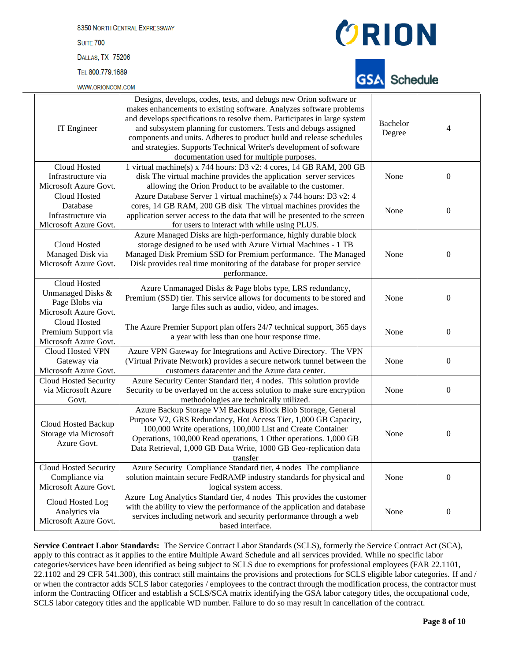8350 NORTH CENTRAL EXPRESSWAY **SUITE 700** DALLAS, TX 75206

TEL 800.779.1689

WWW.ORIONCOM.COM



## Schedule

| IT Engineer                                                                  | Designs, develops, codes, tests, and debugs new Orion software or<br>makes enhancements to existing software. Analyzes software problems<br>and develops specifications to resolve them. Participates in large system<br>and subsystem planning for customers. Tests and debugs assigned<br>components and units. Adheres to product build and release schedules<br>and strategies. Supports Technical Writer's development of software<br>documentation used for multiple purposes. | Bachelor<br>Degree | $\overline{4}$   |
|------------------------------------------------------------------------------|--------------------------------------------------------------------------------------------------------------------------------------------------------------------------------------------------------------------------------------------------------------------------------------------------------------------------------------------------------------------------------------------------------------------------------------------------------------------------------------|--------------------|------------------|
| Cloud Hosted<br>Infrastructure via<br>Microsoft Azure Govt.                  | 1 virtual machine(s) x 744 hours: D3 v2: 4 cores, 14 GB RAM, 200 GB<br>disk The virtual machine provides the application server services<br>allowing the Orion Product to be available to the customer.                                                                                                                                                                                                                                                                              | None               | $\boldsymbol{0}$ |
| Cloud Hosted<br>Database<br>Infrastructure via<br>Microsoft Azure Govt.      | Azure Database Server 1 virtual machine(s) x 744 hours: D3 v2: 4<br>cores, 14 GB RAM, 200 GB disk The virtual machines provides the<br>application server access to the data that will be presented to the screen<br>for users to interact with while using PLUS.                                                                                                                                                                                                                    | None               | $\boldsymbol{0}$ |
| Cloud Hosted<br>Managed Disk via<br>Microsoft Azure Govt.                    | Azure Managed Disks are high-performance, highly durable block<br>storage designed to be used with Azure Virtual Machines - 1 TB<br>Managed Disk Premium SSD for Premium performance. The Managed<br>Disk provides real time monitoring of the database for proper service<br>performance.                                                                                                                                                                                           | None               | $\mathbf{0}$     |
| Cloud Hosted<br>Unmanaged Disks &<br>Page Blobs via<br>Microsoft Azure Govt. | Azure Unmanaged Disks & Page blobs type, LRS redundancy,<br>Premium (SSD) tier. This service allows for documents to be stored and<br>large files such as audio, video, and images.                                                                                                                                                                                                                                                                                                  | None               | $\boldsymbol{0}$ |
| Cloud Hosted<br>Premium Support via<br>Microsoft Azure Govt.                 | The Azure Premier Support plan offers 24/7 technical support, 365 days<br>a year with less than one hour response time.                                                                                                                                                                                                                                                                                                                                                              | None               | $\boldsymbol{0}$ |
| Cloud Hosted VPN<br>Gateway via<br>Microsoft Azure Govt.                     | Azure VPN Gateway for Integrations and Active Directory. The VPN<br>(Virtual Private Network) provides a secure network tunnel between the<br>customers datacenter and the Azure data center.                                                                                                                                                                                                                                                                                        | None               | $\boldsymbol{0}$ |
| <b>Cloud Hosted Security</b><br>via Microsoft Azure<br>Govt.                 | Azure Security Center Standard tier, 4 nodes. This solution provide<br>Security to be overlayed on the access solution to make sure encryption<br>methodologies are technically utilized.                                                                                                                                                                                                                                                                                            | None               | $\boldsymbol{0}$ |
| Cloud Hosted Backup<br>Storage via Microsoft<br>Azure Govt.                  | Azure Backup Storage VM Backups Block Blob Storage, General<br>Purpose V2, GRS Redundancy, Hot Access Tier, 1,000 GB Capacity,<br>100,000 Write operations, 100,000 List and Create Container<br>Operations, 100,000 Read operations, 1 Other operations. 1,000 GB<br>Data Retrieval, 1,000 GB Data Write, 1000 GB Geo-replication data<br>transfer                                                                                                                                  | None               | $\boldsymbol{0}$ |
| Cloud Hosted Security<br>Compliance via<br>Microsoft Azure Govt.             | Azure Security Compliance Standard tier, 4 nodes The compliance<br>solution maintain secure FedRAMP industry standards for physical and<br>logical system access.                                                                                                                                                                                                                                                                                                                    | None               | $\boldsymbol{0}$ |
| Cloud Hosted Log<br>Analytics via<br>Microsoft Azure Govt.                   | Azure Log Analytics Standard tier, 4 nodes This provides the customer<br>with the ability to view the performance of the application and database<br>services including network and security performance through a web<br>based interface.                                                                                                                                                                                                                                           | None               | $\boldsymbol{0}$ |

**Service Contract Labor Standards:** The Service Contract Labor Standards (SCLS), formerly the Service Contract Act (SCA), apply to this contract as it applies to the entire Multiple Award Schedule and all services provided. While no specific labor categories/services have been identified as being subject to SCLS due to exemptions for professional employees (FAR 22.1101, 22.1102 and 29 CFR 541.300), this contract still maintains the provisions and protections for SCLS eligible labor categories. If and / or when the contractor adds SCLS labor categories / employees to the contract through the modification process, the contractor must inform the Contracting Officer and establish a SCLS/SCA matrix identifying the GSA labor category titles, the occupational code, SCLS labor category titles and the applicable WD number. Failure to do so may result in cancellation of the contract.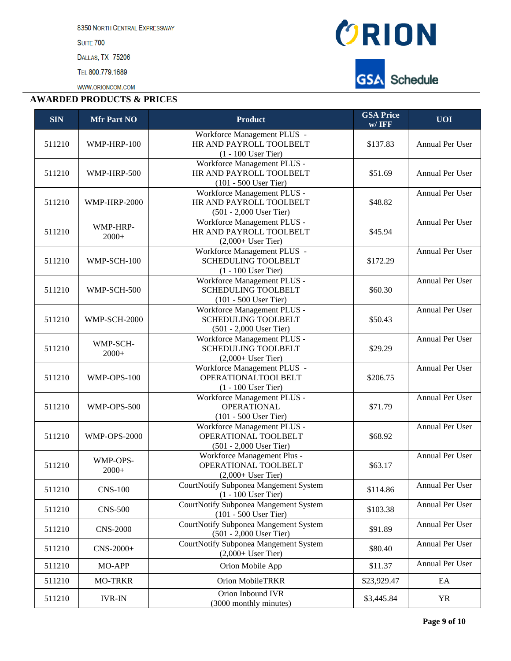8350 NORTH CENTRAL EXPRESSWAY

**SUITE 700** 

DALLAS, TX 75206

TEL 800.779.1689

WWW.ORIONCOM.COM

#### **AWARDED PRODUCTS & PRICES**



| <b>SIN</b> | <b>Mfr Part NO</b>  | <b>Product</b>                                                                     | <b>GSA Price</b><br>$w/$ IFF | <b>UOI</b>             |
|------------|---------------------|------------------------------------------------------------------------------------|------------------------------|------------------------|
| 511210     | WMP-HRP-100         | Workforce Management PLUS -<br>HR AND PAYROLL TOOLBELT<br>$(1 - 100$ User Tier)    | \$137.83                     | Annual Per User        |
| 511210     | WMP-HRP-500         | Workforce Management PLUS -<br>HR AND PAYROLL TOOLBELT<br>$(101 - 500$ User Tier)  | \$51.69                      | Annual Per User        |
| 511210     | <b>WMP-HRP-2000</b> | Workforce Management PLUS -<br>HR AND PAYROLL TOOLBELT<br>(501 - 2,000 User Tier)  | \$48.82                      | Annual Per User        |
| 511210     | WMP-HRP-<br>$2000+$ | Workforce Management PLUS -<br>HR AND PAYROLL TOOLBELT<br>$(2,000+$ User Tier)     | \$45.94                      | Annual Per User        |
| 511210     | WMP-SCH-100         | Workforce Management PLUS -<br><b>SCHEDULING TOOLBELT</b><br>$(1 - 100$ User Tier) | \$172.29                     | Annual Per User        |
| 511210     | WMP-SCH-500         | Workforce Management PLUS -<br><b>SCHEDULING TOOLBELT</b><br>(101 - 500 User Tier) | \$60.30                      | <b>Annual Per User</b> |
| 511210     | <b>WMP-SCH-2000</b> | Workforce Management PLUS -<br>SCHEDULING TOOLBELT<br>(501 - 2,000 User Tier)      | \$50.43                      | Annual Per User        |
| 511210     | WMP-SCH-<br>$2000+$ | Workforce Management PLUS -<br><b>SCHEDULING TOOLBELT</b><br>$(2,000+$ User Tier)  | \$29.29                      | Annual Per User        |
| 511210     | WMP-OPS-100         | Workforce Management PLUS -<br>OPERATIONALTOOLBELT<br>$(1 - 100$ User Tier)        | \$206.75                     | Annual Per User        |
| 511210     | WMP-OPS-500         | Workforce Management PLUS -<br><b>OPERATIONAL</b><br>$(101 - 500$ User Tier)       | \$71.79                      | Annual Per User        |
| 511210     | <b>WMP-OPS-2000</b> | Workforce Management PLUS -<br>OPERATIONAL TOOLBELT<br>(501 - 2,000 User Tier)     | \$68.92                      | Annual Per User        |
| 511210     | WMP-OPS-<br>$2000+$ | Workforce Management Plus -<br>OPERATIONAL TOOLBELT<br>$(2,000+$ User Tier)        | \$63.17                      | Annual Per User        |
| 511210     | <b>CNS-100</b>      | <b>CourtNotify Subponea Mangement System</b><br>$(1 - 100$ User Tier)              | \$114.86                     | Annual Per User        |
| 511210     | <b>CNS-500</b>      | <b>CourtNotify Subponea Mangement System</b><br>$(101 - 500$ User Tier)            | \$103.38                     | Annual Per User        |
| 511210     | <b>CNS-2000</b>     | <b>CourtNotify Subponea Mangement System</b><br>$(501 - 2,000$ User Tier)          | \$91.89                      | Annual Per User        |
| 511210     | CNS-2000+           | <b>CourtNotify Subponea Mangement System</b><br>$(2,000+$ User Tier)               | \$80.40                      | Annual Per User        |
| 511210     | MO-APP              | Orion Mobile App                                                                   | \$11.37                      | Annual Per User        |
| 511210     | <b>MO-TRKR</b>      | Orion MobileTRKR                                                                   | \$23,929.47                  | EA                     |
| 511210     | <b>IVR-IN</b>       | Orion Inbound IVR<br>(3000 monthly minutes)                                        | \$3,445.84                   | <b>YR</b>              |